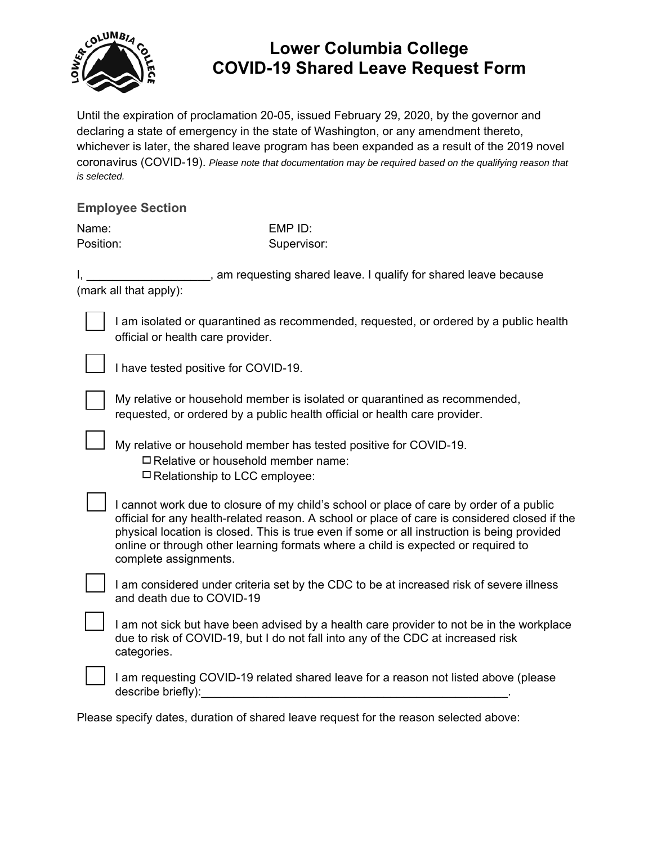

## **Lower Columbia College COVID-19 Shared Leave Request Form**

Until the expiration of proclamation 20-05, issued February 29, 2020, by the governor and declaring a state of emergency in the state of Washington, or any amendment thereto, whichever is later, the shared leave program has been expanded as a result of the 2019 novel coronavirus (COVID-19). *Please note that documentation may be required based on the qualifying reason that is selected.* 

## **Employee Section**

| Name:     | EMP ID:     |
|-----------|-------------|
| Position: | Supervisor: |

I, the same of the state of easier shared leave. I qualify for shared leave because (mark all that apply):

I am isolated or quarantined as recommended, requested, or ordered by a public health official or health care provider.

I have tested positive for COVID-19.

My relative or household member is isolated or quarantined as recommended, requested, or ordered by a public health official or health care provider.

My relative or household member has tested positive for COVID-19.  $\Box$  Relative or household member name:  $\Box$  Relationship to LCC employee:

I cannot work due to closure of my child's school or place of care by order of a public official for any health-related reason. A school or place of care is considered closed if the physical location is closed. This is true even if some or all instruction is being provided online or through other learning formats where a child is expected or required to complete assignments.

I am considered under criteria set by the CDC to be at increased risk of severe illness and death due to COVID-19

I am not sick but have been advised by a health care provider to not be in the workplace due to risk of COVID-19, but I do not fall into any of the CDC at increased risk categories.

I am requesting COVID-19 related shared leave for a reason not listed above (please describe briefly):  $\blacksquare$ 

Please specify dates, duration of shared leave request for the reason selected above: